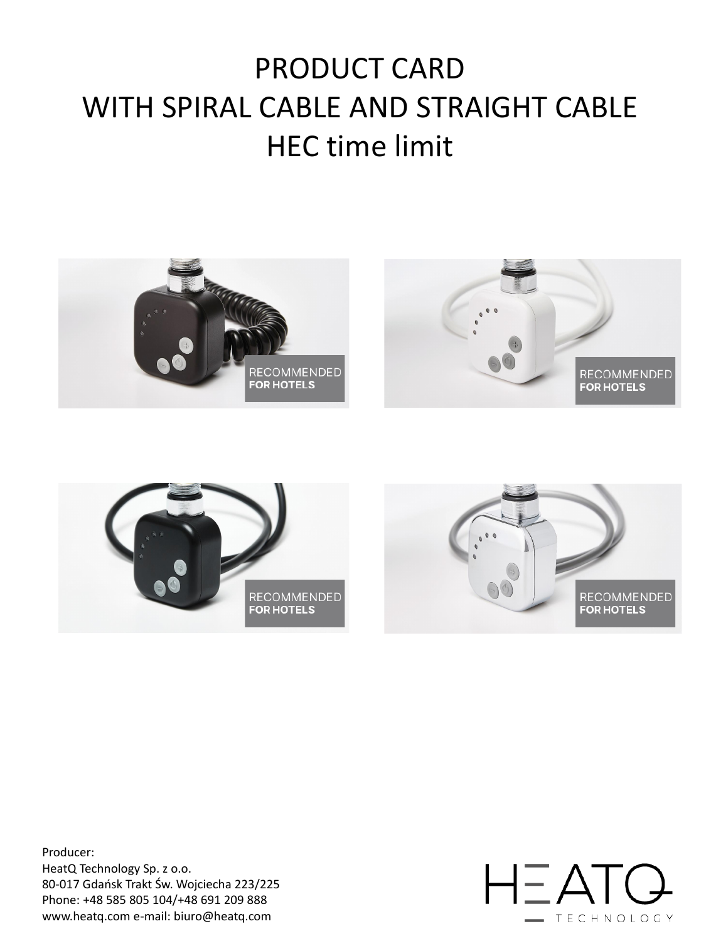# PRODUCT CARD WITH SPIRAL CABLE AND STRAIGHT CABLE HEC time limit







Producer:

HeatQ Technology Sp. z o.o. 80-017 Gdańsk Trakt Św. Wojciecha 223/225 Phone: +48 585 805 104/+48 691 209 888 www.heatq.com e-mail: biuro@heatq.com

### $H\equiv ATQ$ - TECHNOLOGY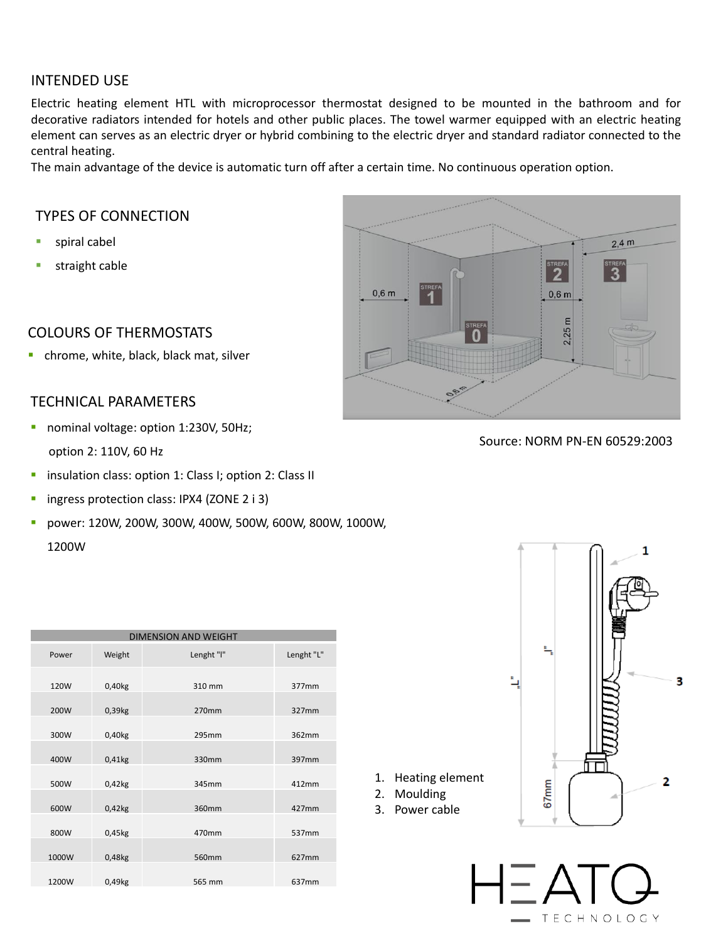#### INTENDED USE

Electric heating element HTL with microprocessor thermostat designed to be mounted in the bathroom and for decorative radiators intended for hotels and other public places. The towel warmer equipped with an electric heating element can serves as an electric dryer or hybrid combining to the electric dryer and standard radiator connected to the central heating.

The main advantage of the device is automatic turn off after a certain time. No continuous operation option.

- nominal voltage: option 1:230V, 50Hz; option 2: 110V, 60 Hz
- **·** insulation class: option 1: Class I; option 2: Class II
- **·** ingress protection class: IPX4 (ZONE 2 i 3)
- power: 120W, 200W, 300W, 400W, 500W, 600W, 800W, 1000W, 1200W



#### TYPES OF CONNECTION

- spiral cabel
- straight cable

#### COLOURS OF THERMOSTATS

chrome, white, black, black mat, silver

#### TECHNICAL PARAMETERS

#### Source: NORM PN-EN 60529:2003



3

| <b>DIMENSION AND WEIGHT</b> |        |            |            |  |  |  |  |
|-----------------------------|--------|------------|------------|--|--|--|--|
| Power                       | Weight | Lenght "I" | Lenght "L" |  |  |  |  |

| 120W  | 0,40kg | 310 mm | 377mm |
|-------|--------|--------|-------|
|       |        |        |       |
| 200W  | 0,39kg | 270mm  | 327mm |
|       |        |        |       |
| 300W  | 0,40kg | 295mm  | 362mm |
|       |        |        |       |
| 400W  | 0,41kg | 330mm  | 397mm |
|       |        |        |       |
| 500W  | 0,42kg | 345mm  | 412mm |
|       |        |        |       |
| 600W  | 0,42kg | 360mm  | 427mm |
|       |        |        |       |
| 800W  | 0,45kg | 470mm  | 537mm |
|       |        |        |       |
| 1000W | 0,48kg | 560mm  | 627mm |
|       |        |        |       |
| 1200W | 0,49kg | 565 mm | 637mm |



1. Heating element

2. Moulding

3. Power cable

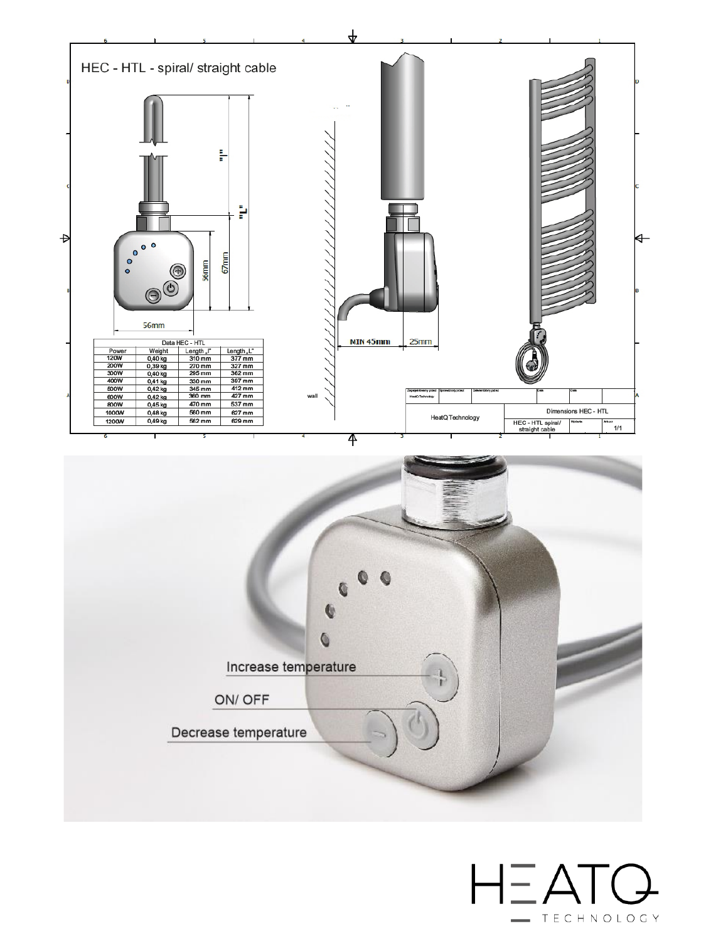



## $H\equiv ATQ$ - TECHNOLOGY